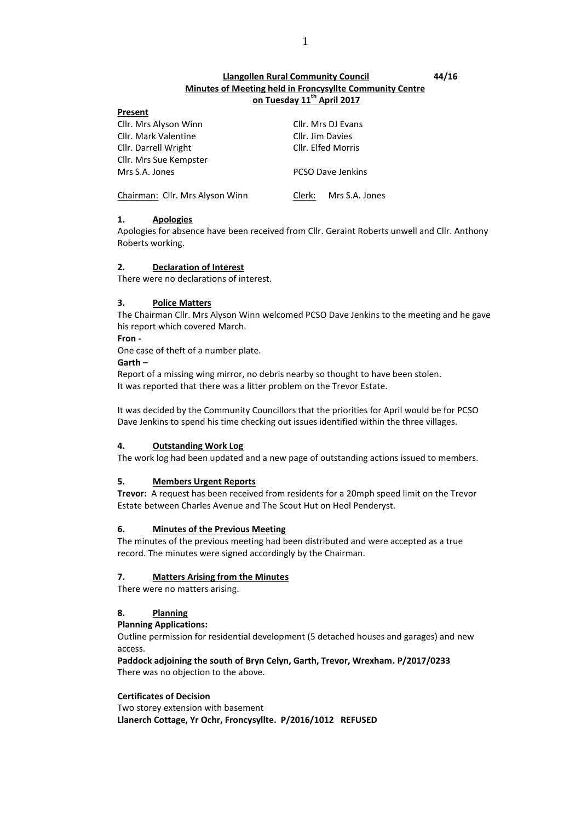# **Llangollen Rural Community Council 44/16 Minutes of Meeting held in Froncysyllte Community Centre on Tuesday 11th April 2017**

| .                               |                          |  |
|---------------------------------|--------------------------|--|
| Cllr. Mrs Alyson Winn           | Cllr. Mrs DJ Evans       |  |
| Cllr. Mark Valentine            | Cllr. Jim Davies         |  |
| Cllr. Darrell Wright            | Cllr. Elfed Morris       |  |
| Cllr. Mrs Sue Kempster          |                          |  |
| Mrs S.A. Jones                  | <b>PCSO Dave Jenkins</b> |  |
| Chairman: Cllr. Mrs Alyson Winn | Clerk: Mrs S.A. Jones    |  |

# **1. Apologies**

**Present**

Apologies for absence have been received from Cllr. Geraint Roberts unwell and Cllr. Anthony Roberts working.

# **2. Declaration of Interest**

There were no declarations of interest.

# **3. Police Matters**

The Chairman Cllr. Mrs Alyson Winn welcomed PCSO Dave Jenkins to the meeting and he gave his report which covered March.

**Fron -**

One case of theft of a number plate.

**Garth –**

Report of a missing wing mirror, no debris nearby so thought to have been stolen. It was reported that there was a litter problem on the Trevor Estate.

It was decided by the Community Councillors that the priorities for April would be for PCSO Dave Jenkins to spend his time checking out issues identified within the three villages.

# **4. Outstanding Work Log**

The work log had been updated and a new page of outstanding actions issued to members.

# **5. Members Urgent Reports**

**Trevor:** A request has been received from residents for a 20mph speed limit on the Trevor Estate between Charles Avenue and The Scout Hut on Heol Penderyst.

# **6. Minutes of the Previous Meeting**

The minutes of the previous meeting had been distributed and were accepted as a true record. The minutes were signed accordingly by the Chairman.

# **7. Matters Arising from the Minutes**

There were no matters arising.

# **8. Planning**

# **Planning Applications:**

Outline permission for residential development (5 detached houses and garages) and new access.

**Paddock adjoining the south of Bryn Celyn, Garth, Trevor, Wrexham. P/2017/0233** There was no objection to the above.

# **Certificates of Decision**

Two storey extension with basement **Llanerch Cottage, Yr Ochr, Froncysyllte. P/2016/1012 REFUSED**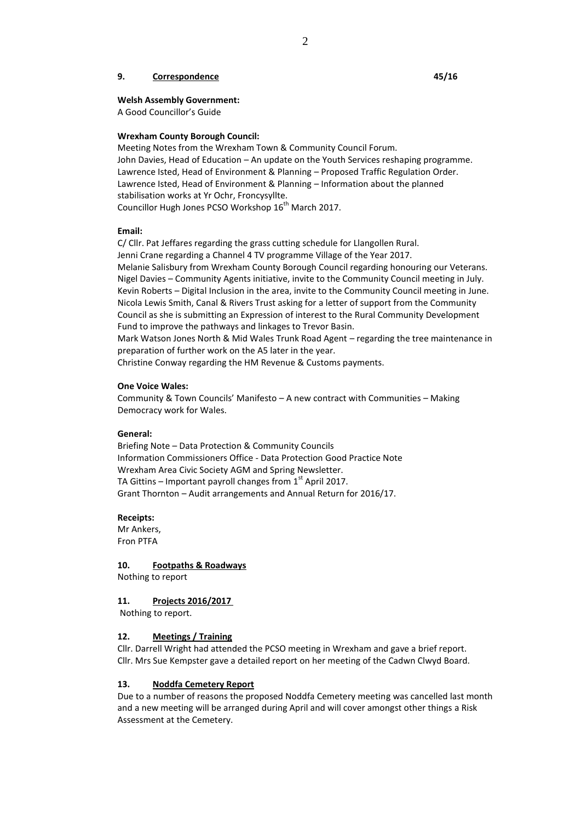### **9. Correspondence 45/16**

# **Welsh Assembly Government:**

A Good Councillor's Guide

## **Wrexham County Borough Council:**

Meeting Notes from the Wrexham Town & Community Council Forum. John Davies, Head of Education – An update on the Youth Services reshaping programme. Lawrence Isted, Head of Environment & Planning – Proposed Traffic Regulation Order. Lawrence Isted, Head of Environment & Planning – Information about the planned stabilisation works at Yr Ochr, Froncysyllte. Councillor Hugh Jones PCSO Workshop 16<sup>th</sup> March 2017.

## **Email:**

C/ Cllr. Pat Jeffares regarding the grass cutting schedule for Llangollen Rural. Jenni Crane regarding a Channel 4 TV programme Village of the Year 2017. Melanie Salisbury from Wrexham County Borough Council regarding honouring our Veterans. Nigel Davies – Community Agents initiative, invite to the Community Council meeting in July. Kevin Roberts – Digital Inclusion in the area, invite to the Community Council meeting in June. Nicola Lewis Smith, Canal & Rivers Trust asking for a letter of support from the Community Council as she is submitting an Expression of interest to the Rural Community Development Fund to improve the pathways and linkages to Trevor Basin. Mark Watson Jones North & Mid Wales Trunk Road Agent – regarding the tree maintenance in preparation of further work on the A5 later in the year.

Christine Conway regarding the HM Revenue & Customs payments.

### **One Voice Wales:**

Community & Town Councils' Manifesto – A new contract with Communities – Making Democracy work for Wales.

### **General:**

Briefing Note – Data Protection & Community Councils Information Commissioners Office - Data Protection Good Practice Note Wrexham Area Civic Society AGM and Spring Newsletter. TA Gittins – Important payroll changes from  $1<sup>st</sup>$  April 2017. Grant Thornton – Audit arrangements and Annual Return for 2016/17.

### **Receipts:**

Mr Ankers, Fron PTFA

**10. Footpaths & Roadways** Nothing to report

### **11. Projects 2016/2017**

Nothing to report.

## **12. Meetings / Training**

Cllr. Darrell Wright had attended the PCSO meeting in Wrexham and gave a brief report. Cllr. Mrs Sue Kempster gave a detailed report on her meeting of the Cadwn Clwyd Board.

### **13. Noddfa Cemetery Report**

Due to a number of reasons the proposed Noddfa Cemetery meeting was cancelled last month and a new meeting will be arranged during April and will cover amongst other things a Risk Assessment at the Cemetery.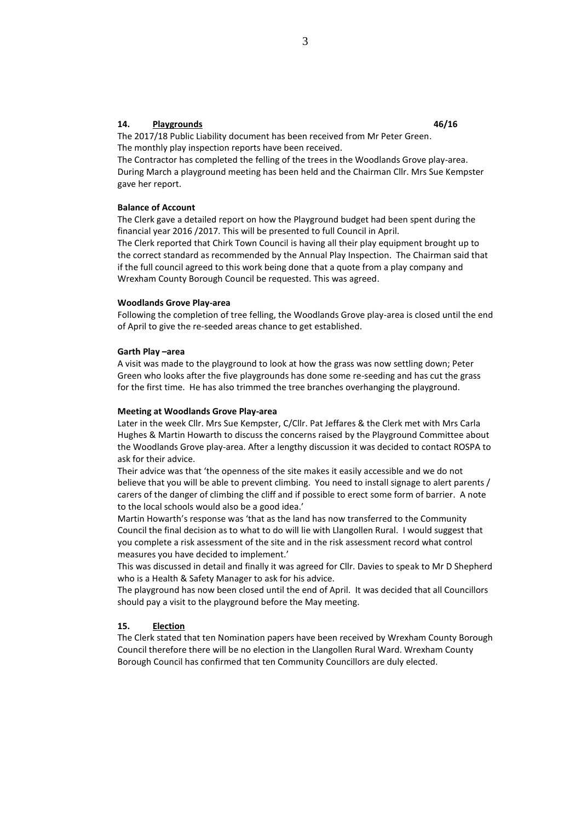# **14. Playgrounds 46/16**

The 2017/18 Public Liability document has been received from Mr Peter Green. The monthly play inspection reports have been received.

The Contractor has completed the felling of the trees in the Woodlands Grove play-area. During March a playground meeting has been held and the Chairman Cllr. Mrs Sue Kempster gave her report.

### **Balance of Account**

The Clerk gave a detailed report on how the Playground budget had been spent during the financial year 2016 /2017. This will be presented to full Council in April.

The Clerk reported that Chirk Town Council is having all their play equipment brought up to the correct standard as recommended by the Annual Play Inspection. The Chairman said that if the full council agreed to this work being done that a quote from a play company and Wrexham County Borough Council be requested. This was agreed.

### **Woodlands Grove Play-area**

Following the completion of tree felling, the Woodlands Grove play-area is closed until the end of April to give the re-seeded areas chance to get established.

### **Garth Play –area**

A visit was made to the playground to look at how the grass was now settling down; Peter Green who looks after the five playgrounds has done some re-seeding and has cut the grass for the first time. He has also trimmed the tree branches overhanging the playground.

### **Meeting at Woodlands Grove Play-area**

Later in the week Cllr. Mrs Sue Kempster, C/Cllr. Pat Jeffares & the Clerk met with Mrs Carla Hughes & Martin Howarth to discuss the concerns raised by the Playground Committee about the Woodlands Grove play-area. After a lengthy discussion it was decided to contact ROSPA to ask for their advice.

Their advice was that 'the openness of the site makes it easily accessible and we do not believe that you will be able to prevent climbing. You need to install signage to alert parents / carers of the danger of climbing the cliff and if possible to erect some form of barrier. A note to the local schools would also be a good idea.'

Martin Howarth's response was 'that as the land has now transferred to the Community Council the final decision as to what to do will lie with Llangollen Rural. I would suggest that you complete a risk assessment of the site and in the risk assessment record what control measures you have decided to implement.'

This was discussed in detail and finally it was agreed for Cllr. Davies to speak to Mr D Shepherd who is a Health & Safety Manager to ask for his advice.

The playground has now been closed until the end of April. It was decided that all Councillors should pay a visit to the playground before the May meeting.

### **15. Election**

The Clerk stated that ten Nomination papers have been received by Wrexham County Borough Council therefore there will be no election in the Llangollen Rural Ward. Wrexham County Borough Council has confirmed that ten Community Councillors are duly elected.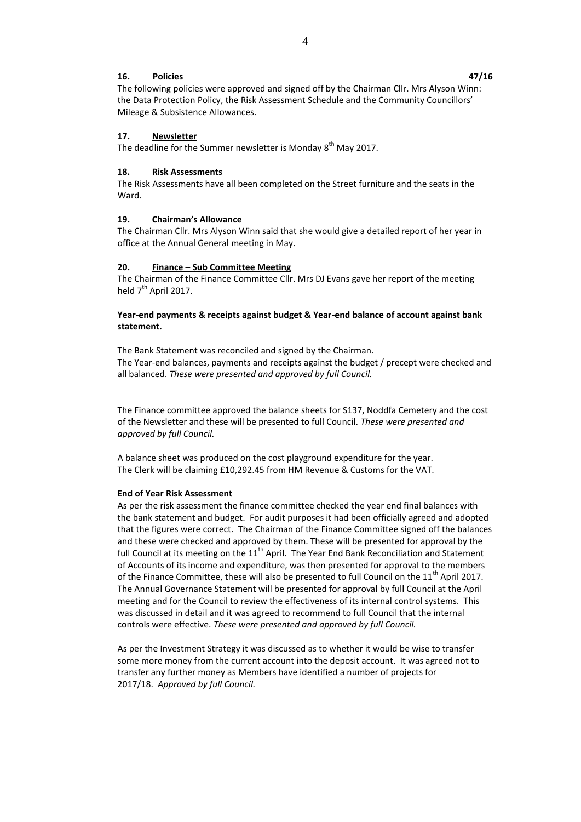### **16. Policies 47/16**

The following policies were approved and signed off by the Chairman Cllr. Mrs Alyson Winn: the Data Protection Policy, the Risk Assessment Schedule and the Community Councillors' Mileage & Subsistence Allowances.

## **17. Newsletter**

The deadline for the Summer newsletter is Monday 8<sup>th</sup> May 2017.

### **18. Risk Assessments**

The Risk Assessments have all been completed on the Street furniture and the seats in the Ward.

### **19. Chairman's Allowance**

The Chairman Cllr. Mrs Alyson Winn said that she would give a detailed report of her year in office at the Annual General meeting in May.

### **20. Finance – Sub Committee Meeting**

The Chairman of the Finance Committee Cllr. Mrs DJ Evans gave her report of the meeting held 7<sup>th</sup> April 2017.

# **Year-end payments & receipts against budget & Year-end balance of account against bank statement.**

The Bank Statement was reconciled and signed by the Chairman. The Year-end balances, payments and receipts against the budget / precept were checked and all balanced. *These were presented and approved by full Council.*

The Finance committee approved the balance sheets for S137, Noddfa Cemetery and the cost of the Newsletter and these will be presented to full Council. *These were presented and approved by full Council.*

A balance sheet was produced on the cost playground expenditure for the year. The Clerk will be claiming £10,292.45 from HM Revenue & Customs for the VAT.

### **End of Year Risk Assessment**

As per the risk assessment the finance committee checked the year end final balances with the bank statement and budget. For audit purposes it had been officially agreed and adopted that the figures were correct. The Chairman of the Finance Committee signed off the balances and these were checked and approved by them. These will be presented for approval by the full Council at its meeting on the 11<sup>th</sup> April. The Year End Bank Reconciliation and Statement of Accounts of its income and expenditure, was then presented for approval to the members of the Finance Committee, these will also be presented to full Council on the 11<sup>th</sup> April 2017. The Annual Governance Statement will be presented for approval by full Council at the April meeting and for the Council to review the effectiveness of its internal control systems. This was discussed in detail and it was agreed to recommend to full Council that the internal controls were effective. *These were presented and approved by full Council.*

As per the Investment Strategy it was discussed as to whether it would be wise to transfer some more money from the current account into the deposit account. It was agreed not to transfer any further money as Members have identified a number of projects for 2017/18. *Approved by full Council.*